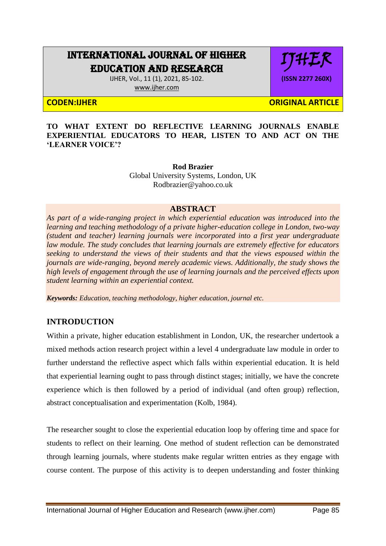# INTERNATIONAL JOURNAL OF HIGHER EDUCATION AND RESEARCH

IJHER, Vol., 11 (1), 2021, 85-102. [www.ijher.com](http://www.ijher.com/)

IJHER **(ISSN 2277 260X)**

**CODEN:IJHER ORIGINAL ARTICLE** 

**TO WHAT EXTENT DO REFLECTIVE LEARNING JOURNALS ENABLE EXPERIENTIAL EDUCATORS TO HEAR, LISTEN TO AND ACT ON THE 'LEARNER VOICE'?**

> **Rod Brazier** Global University Systems, London, UK Rodbrazier@yahoo.co.uk

## **ABSTRACT**

*As part of a wide-ranging project in which experiential education was introduced into the learning and teaching methodology of a private higher-education college in London, two-way (student and teacher) learning journals were incorporated into a first year undergraduate law module. The study concludes that learning journals are extremely effective for educators seeking to understand the views of their students and that the views espoused within the journals are wide-ranging, beyond merely academic views. Additionally, the study shows the high levels of engagement through the use of learning journals and the perceived effects upon student learning within an experiential context.*

*Keywords: Education, teaching methodology, higher education, journal etc.* 

## **INTRODUCTION**

Within a private, higher education establishment in London, UK, the researcher undertook a mixed methods action research project within a level 4 undergraduate law module in order to further understand the reflective aspect which falls within experiential education. It is held that experiential learning ought to pass through distinct stages; initially, we have the concrete experience which is then followed by a period of individual (and often group) reflection, abstract conceptualisation and experimentation (Kolb, 1984).

The researcher sought to close the experiential education loop by offering time and space for students to reflect on their learning. One method of student reflection can be demonstrated through learning journals, where students make regular written entries as they engage with course content. The purpose of this activity is to deepen understanding and foster thinking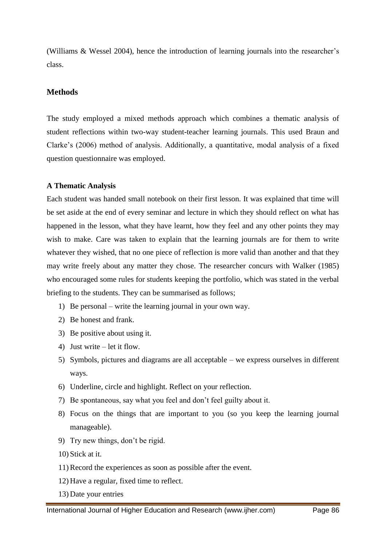(Williams & Wessel 2004), hence the introduction of learning journals into the researcher"s class.

## **Methods**

The study employed a mixed methods approach which combines a thematic analysis of student reflections within two-way student-teacher learning journals. This used Braun and Clarke"s (2006) method of analysis. Additionally, a quantitative, modal analysis of a fixed question questionnaire was employed.

## **A Thematic Analysis**

Each student was handed small notebook on their first lesson. It was explained that time will be set aside at the end of every seminar and lecture in which they should reflect on what has happened in the lesson, what they have learnt, how they feel and any other points they may wish to make. Care was taken to explain that the learning journals are for them to write whatever they wished, that no one piece of reflection is more valid than another and that they may write freely about any matter they chose. The researcher concurs with Walker (1985) who encouraged some rules for students keeping the portfolio, which was stated in the verbal briefing to the students. They can be summarised as follows;

- 1) Be personal write the learning journal in your own way.
- 2) Be honest and frank.
- 3) Be positive about using it.
- 4) Just write let it flow.
- 5) Symbols, pictures and diagrams are all acceptable we express ourselves in different ways.
- 6) Underline, circle and highlight. Reflect on your reflection.
- 7) Be spontaneous, say what you feel and don"t feel guilty about it.
- 8) Focus on the things that are important to you (so you keep the learning journal manageable).
- 9) Try new things, don"t be rigid.
- 10) Stick at it.
- 11)Record the experiences as soon as possible after the event.
- 12) Have a regular, fixed time to reflect.
- 13) Date your entries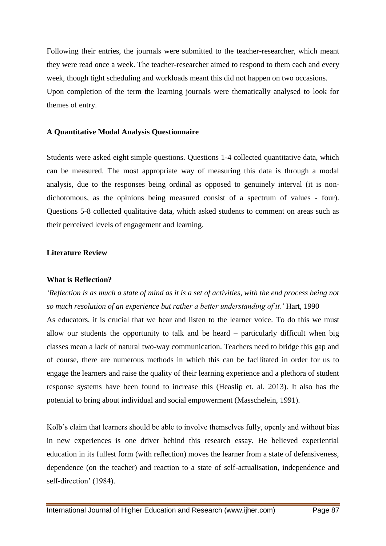Following their entries, the journals were submitted to the teacher-researcher, which meant they were read once a week. The teacher-researcher aimed to respond to them each and every week, though tight scheduling and workloads meant this did not happen on two occasions. Upon completion of the term the learning journals were thematically analysed to look for themes of entry.

#### **A Quantitative Modal Analysis Questionnaire**

Students were asked eight simple questions. Questions 1-4 collected quantitative data, which can be measured. The most appropriate way of measuring this data is through a modal analysis, due to the responses being ordinal as opposed to genuinely interval (it is nondichotomous, as the opinions being measured consist of a spectrum of values - four). Questions 5-8 collected qualitative data, which asked students to comment on areas such as their perceived levels of engagement and learning.

#### **Literature Review**

## **What is Reflection?**

*'Reflection is as much a state of mind as it is a set of activities, with the end process being not so much resolution of an experience but rather a better understanding of it.'* Hart, 1990 As educators, it is crucial that we hear and listen to the learner voice. To do this we must allow our students the opportunity to talk and be heard – particularly difficult when big classes mean a lack of natural two-way communication. Teachers need to bridge this gap and of course, there are numerous methods in which this can be facilitated in order for us to engage the learners and raise the quality of their learning experience and a plethora of student response systems have been found to increase this (Heaslip et. al. 2013). It also has the potential to bring about individual and social empowerment (Masschelein, 1991).

Kolb"s claim that learners should be able to involve themselves fully, openly and without bias in new experiences is one driver behind this research essay. He believed experiential education in its fullest form (with reflection) moves the learner from a state of defensiveness, dependence (on the teacher) and reaction to a state of self-actualisation, independence and self-direction' (1984).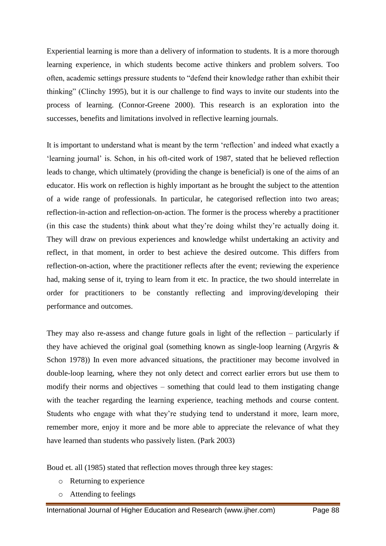Experiential learning is more than a delivery of information to students. It is a more thorough learning experience, in which students become active thinkers and problem solvers. Too often, academic settings pressure students to "defend their knowledge rather than exhibit their thinking" (Clinchy 1995), but it is our challenge to find ways to invite our students into the process of learning. (Connor-Greene 2000). This research is an exploration into the successes, benefits and limitations involved in reflective learning journals.

It is important to understand what is meant by the term "reflection" and indeed what exactly a 'learning journal' is. Schon, in his oft-cited work of 1987, stated that he believed reflection leads to change, which ultimately (providing the change is beneficial) is one of the aims of an educator. His work on reflection is highly important as he brought the subject to the attention of a wide range of professionals. In particular, he categorised reflection into two areas; reflection-in-action and reflection-on-action. The former is the process whereby a practitioner (in this case the students) think about what they"re doing whilst they"re actually doing it. They will draw on previous experiences and knowledge whilst undertaking an activity and reflect, in that moment, in order to best achieve the desired outcome. This differs from reflection-on-action, where the practitioner reflects after the event; reviewing the experience had, making sense of it, trying to learn from it etc. In practice, the two should interrelate in order for practitioners to be constantly reflecting and improving/developing their performance and outcomes.

They may also re-assess and change future goals in light of the reflection – particularly if they have achieved the original goal (something known as single-loop learning (Argyris & Schon 1978)) In even more advanced situations, the practitioner may become involved in double-loop learning, where they not only detect and correct earlier errors but use them to modify their norms and objectives – something that could lead to them instigating change with the teacher regarding the learning experience, teaching methods and course content. Students who engage with what they"re studying tend to understand it more, learn more, remember more, enjoy it more and be more able to appreciate the relevance of what they have learned than students who passively listen. (Park 2003)

Boud et. all (1985) stated that reflection moves through three key stages:

- o Returning to experience
- o Attending to feelings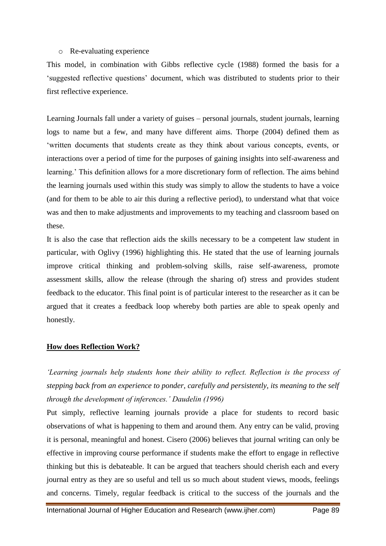#### o Re-evaluating experience

This model, in combination with Gibbs reflective cycle (1988) formed the basis for a "suggested reflective questions" document, which was distributed to students prior to their first reflective experience.

Learning Journals fall under a variety of guises – personal journals, student journals, learning logs to name but a few, and many have different aims. Thorpe (2004) defined them as "written documents that students create as they think about various concepts, events, or interactions over a period of time for the purposes of gaining insights into self-awareness and learning.' This definition allows for a more discretionary form of reflection. The aims behind the learning journals used within this study was simply to allow the students to have a voice (and for them to be able to air this during a reflective period), to understand what that voice was and then to make adjustments and improvements to my teaching and classroom based on these.

It is also the case that reflection aids the skills necessary to be a competent law student in particular, with Oglivy (1996) highlighting this. He stated that the use of learning journals improve critical thinking and problem-solving skills, raise self-awareness, promote assessment skills, allow the release (through the sharing of) stress and provides student feedback to the educator. This final point is of particular interest to the researcher as it can be argued that it creates a feedback loop whereby both parties are able to speak openly and honestly.

## **How does Reflection Work?**

*'Learning journals help students hone their ability to reflect. Reflection is the process of stepping back from an experience to ponder, carefully and persistently, its meaning to the self through the development of inferences.' Daudelin (1996)*

Put simply, reflective learning journals provide a place for students to record basic observations of what is happening to them and around them. Any entry can be valid, proving it is personal, meaningful and honest. Cisero (2006) believes that journal writing can only be effective in improving course performance if students make the effort to engage in reflective thinking but this is debateable. It can be argued that teachers should cherish each and every journal entry as they are so useful and tell us so much about student views, moods, feelings and concerns. Timely, regular feedback is critical to the success of the journals and the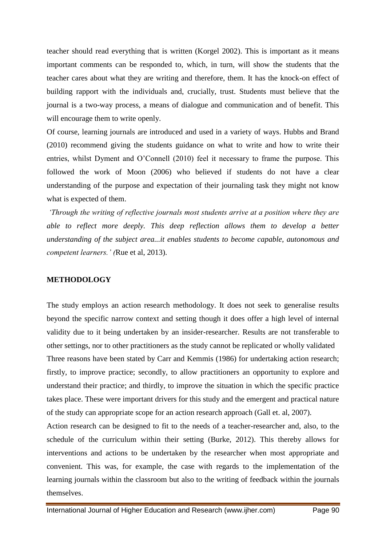teacher should read everything that is written (Korgel 2002). This is important as it means important comments can be responded to, which, in turn, will show the students that the teacher cares about what they are writing and therefore, them. It has the knock-on effect of building rapport with the individuals and, crucially, trust. Students must believe that the journal is a two-way process, a means of dialogue and communication and of benefit. This will encourage them to write openly.

Of course, learning journals are introduced and used in a variety of ways. Hubbs and Brand (2010) recommend giving the students guidance on what to write and how to write their entries, whilst Dyment and O"Connell (2010) feel it necessary to frame the purpose. This followed the work of Moon (2006) who believed if students do not have a clear understanding of the purpose and expectation of their journaling task they might not know what is expected of them.

*'Through the writing of reflective journals most students arrive at a position where they are able to reflect more deeply. This deep reflection allows them to develop a better understanding of the subject area...it enables students to become capable, autonomous and competent learners.' (*Rue et al, 2013).

#### **METHODOLOGY**

The study employs an action research methodology. It does not seek to generalise results beyond the specific narrow context and setting though it does offer a high level of internal validity due to it being undertaken by an insider-researcher. Results are not transferable to other settings, nor to other practitioners as the study cannot be replicated or wholly validated Three reasons have been stated by Carr and Kemmis (1986) for undertaking action research; firstly, to improve practice; secondly, to allow practitioners an opportunity to explore and understand their practice; and thirdly, to improve the situation in which the specific practice takes place. These were important drivers for this study and the emergent and practical nature of the study can appropriate scope for an action research approach (Gall et. al, 2007).

Action research can be designed to fit to the needs of a teacher-researcher and, also, to the schedule of the curriculum within their setting (Burke, 2012). This thereby allows for interventions and actions to be undertaken by the researcher when most appropriate and convenient. This was, for example, the case with regards to the implementation of the learning journals within the classroom but also to the writing of feedback within the journals themselves.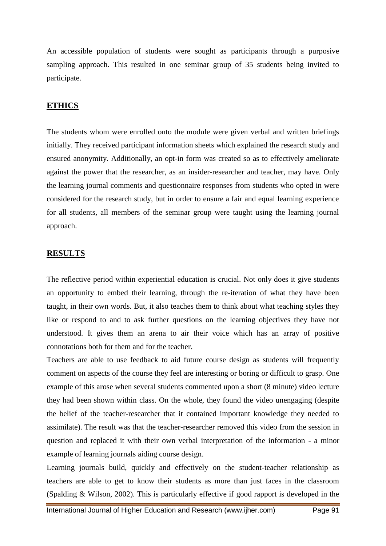An accessible population of students were sought as participants through a purposive sampling approach. This resulted in one seminar group of 35 students being invited to participate.

#### **ETHICS**

The students whom were enrolled onto the module were given verbal and written briefings initially. They received participant information sheets which explained the research study and ensured anonymity. Additionally, an opt-in form was created so as to effectively ameliorate against the power that the researcher, as an insider-researcher and teacher, may have. Only the learning journal comments and questionnaire responses from students who opted in were considered for the research study, but in order to ensure a fair and equal learning experience for all students, all members of the seminar group were taught using the learning journal approach.

#### **RESULTS**

The reflective period within experiential education is crucial. Not only does it give students an opportunity to embed their learning, through the re-iteration of what they have been taught, in their own words. But, it also teaches them to think about what teaching styles they like or respond to and to ask further questions on the learning objectives they have not understood. It gives them an arena to air their voice which has an array of positive connotations both for them and for the teacher.

Teachers are able to use feedback to aid future course design as students will frequently comment on aspects of the course they feel are interesting or boring or difficult to grasp. One example of this arose when several students commented upon a short (8 minute) video lecture they had been shown within class. On the whole, they found the video unengaging (despite the belief of the teacher-researcher that it contained important knowledge they needed to assimilate). The result was that the teacher-researcher removed this video from the session in question and replaced it with their own verbal interpretation of the information - a minor example of learning journals aiding course design.

Learning journals build, quickly and effectively on the student-teacher relationship as teachers are able to get to know their students as more than just faces in the classroom (Spalding & Wilson, 2002). This is particularly effective if good rapport is developed in the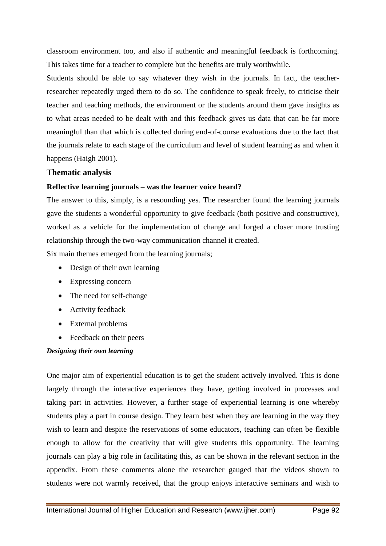classroom environment too, and also if authentic and meaningful feedback is forthcoming. This takes time for a teacher to complete but the benefits are truly worthwhile.

Students should be able to say whatever they wish in the journals. In fact, the teacherresearcher repeatedly urged them to do so. The confidence to speak freely, to criticise their teacher and teaching methods, the environment or the students around them gave insights as to what areas needed to be dealt with and this feedback gives us data that can be far more meaningful than that which is collected during end-of-course evaluations due to the fact that the journals relate to each stage of the curriculum and level of student learning as and when it happens (Haigh 2001).

## **Thematic analysis**

## **Reflective learning journals – was the learner voice heard?**

The answer to this, simply, is a resounding yes. The researcher found the learning journals gave the students a wonderful opportunity to give feedback (both positive and constructive), worked as a vehicle for the implementation of change and forged a closer more trusting relationship through the two-way communication channel it created.

Six main themes emerged from the learning journals;

- Design of their own learning
- Expressing concern
- The need for self-change
- Activity feedback
- External problems
- Feedback on their peers

## *Designing their own learning*

One major aim of experiential education is to get the student actively involved. This is done largely through the interactive experiences they have, getting involved in processes and taking part in activities. However, a further stage of experiential learning is one whereby students play a part in course design. They learn best when they are learning in the way they wish to learn and despite the reservations of some educators, teaching can often be flexible enough to allow for the creativity that will give students this opportunity. The learning journals can play a big role in facilitating this, as can be shown in the relevant section in the appendix. From these comments alone the researcher gauged that the videos shown to students were not warmly received, that the group enjoys interactive seminars and wish to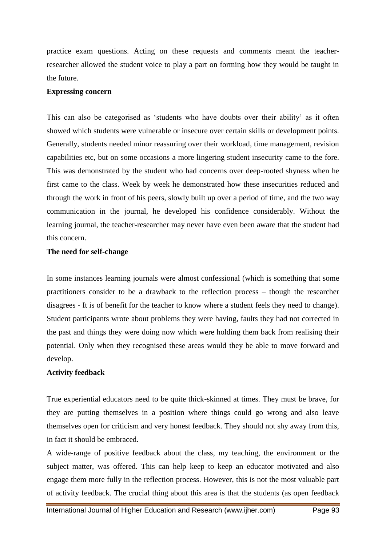practice exam questions. Acting on these requests and comments meant the teacherresearcher allowed the student voice to play a part on forming how they would be taught in the future.

#### **Expressing concern**

This can also be categorised as "students who have doubts over their ability" as it often showed which students were vulnerable or insecure over certain skills or development points. Generally, students needed minor reassuring over their workload, time management, revision capabilities etc, but on some occasions a more lingering student insecurity came to the fore. This was demonstrated by the student who had concerns over deep-rooted shyness when he first came to the class. Week by week he demonstrated how these insecurities reduced and through the work in front of his peers, slowly built up over a period of time, and the two way communication in the journal, he developed his confidence considerably. Without the learning journal, the teacher-researcher may never have even been aware that the student had this concern.

## **The need for self-change**

In some instances learning journals were almost confessional (which is something that some practitioners consider to be a drawback to the reflection process – though the researcher disagrees - It is of benefit for the teacher to know where a student feels they need to change). Student participants wrote about problems they were having, faults they had not corrected in the past and things they were doing now which were holding them back from realising their potential. Only when they recognised these areas would they be able to move forward and develop.

#### **Activity feedback**

True experiential educators need to be quite thick-skinned at times. They must be brave, for they are putting themselves in a position where things could go wrong and also leave themselves open for criticism and very honest feedback. They should not shy away from this, in fact it should be embraced.

A wide-range of positive feedback about the class, my teaching, the environment or the subject matter, was offered. This can help keep to keep an educator motivated and also engage them more fully in the reflection process. However, this is not the most valuable part of activity feedback. The crucial thing about this area is that the students (as open feedback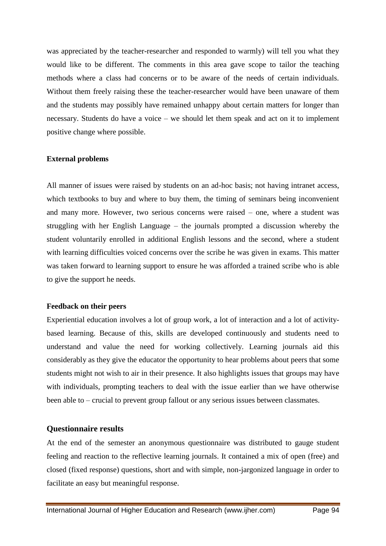was appreciated by the teacher-researcher and responded to warmly) will tell you what they would like to be different. The comments in this area gave scope to tailor the teaching methods where a class had concerns or to be aware of the needs of certain individuals. Without them freely raising these the teacher-researcher would have been unaware of them and the students may possibly have remained unhappy about certain matters for longer than necessary. Students do have a voice – we should let them speak and act on it to implement positive change where possible.

#### **External problems**

All manner of issues were raised by students on an ad-hoc basis; not having intranet access, which textbooks to buy and where to buy them, the timing of seminars being inconvenient and many more. However, two serious concerns were raised – one, where a student was struggling with her English Language – the journals prompted a discussion whereby the student voluntarily enrolled in additional English lessons and the second, where a student with learning difficulties voiced concerns over the scribe he was given in exams. This matter was taken forward to learning support to ensure he was afforded a trained scribe who is able to give the support he needs.

## **Feedback on their peers**

Experiential education involves a lot of group work, a lot of interaction and a lot of activitybased learning. Because of this, skills are developed continuously and students need to understand and value the need for working collectively. Learning journals aid this considerably as they give the educator the opportunity to hear problems about peers that some students might not wish to air in their presence. It also highlights issues that groups may have with individuals, prompting teachers to deal with the issue earlier than we have otherwise been able to – crucial to prevent group fallout or any serious issues between classmates.

## **Questionnaire results**

At the end of the semester an anonymous questionnaire was distributed to gauge student feeling and reaction to the reflective learning journals. It contained a mix of open (free) and closed (fixed response) questions, short and with simple, non-jargonized language in order to facilitate an easy but meaningful response.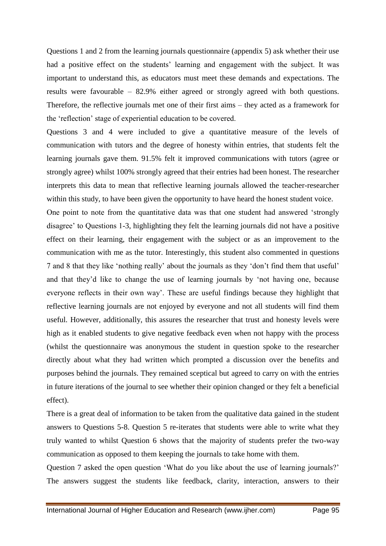Questions 1 and 2 from the learning journals questionnaire (appendix 5) ask whether their use had a positive effect on the students' learning and engagement with the subject. It was important to understand this, as educators must meet these demands and expectations. The results were favourable – 82.9% either agreed or strongly agreed with both questions. Therefore, the reflective journals met one of their first aims – they acted as a framework for the "reflection" stage of experiential education to be covered.

Questions 3 and 4 were included to give a quantitative measure of the levels of communication with tutors and the degree of honesty within entries, that students felt the learning journals gave them. 91.5% felt it improved communications with tutors (agree or strongly agree) whilst 100% strongly agreed that their entries had been honest. The researcher interprets this data to mean that reflective learning journals allowed the teacher-researcher within this study, to have been given the opportunity to have heard the honest student voice.

One point to note from the quantitative data was that one student had answered "strongly disagree" to Questions 1-3, highlighting they felt the learning journals did not have a positive effect on their learning, their engagement with the subject or as an improvement to the communication with me as the tutor. Interestingly, this student also commented in questions 7 and 8 that they like "nothing really" about the journals as they "don"t find them that useful" and that they"d like to change the use of learning journals by "not having one, because everyone reflects in their own way". These are useful findings because they highlight that reflective learning journals are not enjoyed by everyone and not all students will find them useful. However, additionally, this assures the researcher that trust and honesty levels were high as it enabled students to give negative feedback even when not happy with the process (whilst the questionnaire was anonymous the student in question spoke to the researcher directly about what they had written which prompted a discussion over the benefits and purposes behind the journals. They remained sceptical but agreed to carry on with the entries in future iterations of the journal to see whether their opinion changed or they felt a beneficial effect).

There is a great deal of information to be taken from the qualitative data gained in the student answers to Questions 5-8. Question 5 re-iterates that students were able to write what they truly wanted to whilst Question 6 shows that the majority of students prefer the two-way communication as opposed to them keeping the journals to take home with them.

Question 7 asked the open question "What do you like about the use of learning journals?" The answers suggest the students like feedback, clarity, interaction, answers to their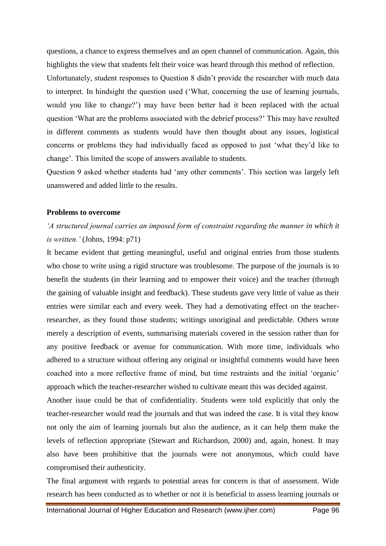questions, a chance to express themselves and an open channel of communication. Again, this highlights the view that students felt their voice was heard through this method of reflection.

Unfortunately, student responses to Question 8 didn"t provide the researcher with much data to interpret. In hindsight the question used ("What, concerning the use of learning journals, would you like to change?") may have been better had it been replaced with the actual question "What are the problems associated with the debrief process?" This may have resulted in different comments as students would have then thought about any issues, logistical concerns or problems they had individually faced as opposed to just "what they"d like to change". This limited the scope of answers available to students.

Question 9 asked whether students had "any other comments". This section was largely left unanswered and added little to the results.

#### **Problems to overcome**

## *'A structured journal carries an imposed form of constraint regarding the manner in which it is written.'* (Johns, 1994: p71)

It became evident that getting meaningful, useful and original entries from those students who chose to write using a rigid structure was troublesome. The purpose of the journals is to benefit the students (in their learning and to empower their voice) and the teacher (through the gaining of valuable insight and feedback). These students gave very little of value as their entries were similar each and every week. They had a demotivating effect on the teacherresearcher, as they found those students; writings unoriginal and predictable. Others wrote merely a description of events, summarising materials covered in the session rather than for any positive feedback or avenue for communication. With more time, individuals who adhered to a structure without offering any original or insightful comments would have been coached into a more reflective frame of mind, but time restraints and the initial "organic" approach which the teacher-researcher wished to cultivate meant this was decided against.

Another issue could be that of confidentiality. Students were told explicitly that only the teacher-researcher would read the journals and that was indeed the case. It is vital they know not only the aim of learning journals but also the audience, as it can help them make the levels of reflection appropriate (Stewart and Richardson, 2000) and, again, honest. It may also have been prohibitive that the journals were not anonymous, which could have compromised their authenticity.

The final argument with regards to potential areas for concern is that of assessment. Wide research has been conducted as to whether or not it is beneficial to assess learning journals or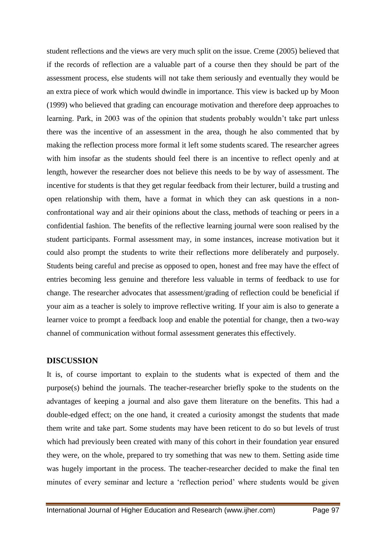student reflections and the views are very much split on the issue. Creme (2005) believed that if the records of reflection are a valuable part of a course then they should be part of the assessment process, else students will not take them seriously and eventually they would be an extra piece of work which would dwindle in importance. This view is backed up by Moon (1999) who believed that grading can encourage motivation and therefore deep approaches to learning. Park, in 2003 was of the opinion that students probably wouldn"t take part unless there was the incentive of an assessment in the area, though he also commented that by making the reflection process more formal it left some students scared. The researcher agrees with him insofar as the students should feel there is an incentive to reflect openly and at length, however the researcher does not believe this needs to be by way of assessment. The incentive for students is that they get regular feedback from their lecturer, build a trusting and open relationship with them, have a format in which they can ask questions in a nonconfrontational way and air their opinions about the class, methods of teaching or peers in a confidential fashion. The benefits of the reflective learning journal were soon realised by the student participants. Formal assessment may, in some instances, increase motivation but it could also prompt the students to write their reflections more deliberately and purposely. Students being careful and precise as opposed to open, honest and free may have the effect of entries becoming less genuine and therefore less valuable in terms of feedback to use for change. The researcher advocates that assessment/grading of reflection could be beneficial if your aim as a teacher is solely to improve reflective writing. If your aim is also to generate a learner voice to prompt a feedback loop and enable the potential for change, then a two-way channel of communication without formal assessment generates this effectively.

## **DISCUSSION**

It is, of course important to explain to the students what is expected of them and the purpose(s) behind the journals. The teacher-researcher briefly spoke to the students on the advantages of keeping a journal and also gave them literature on the benefits. This had a double-edged effect; on the one hand, it created a curiosity amongst the students that made them write and take part. Some students may have been reticent to do so but levels of trust which had previously been created with many of this cohort in their foundation year ensured they were, on the whole, prepared to try something that was new to them. Setting aside time was hugely important in the process. The teacher-researcher decided to make the final ten minutes of every seminar and lecture a 'reflection period' where students would be given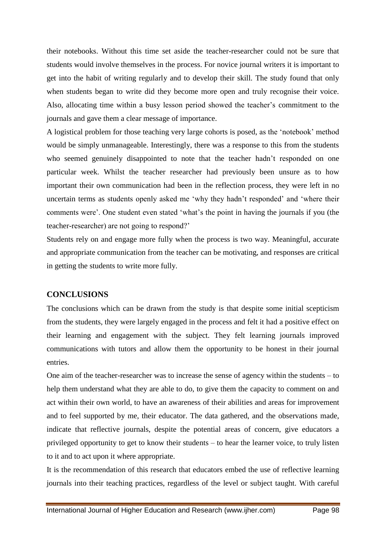their notebooks. Without this time set aside the teacher-researcher could not be sure that students would involve themselves in the process. For novice journal writers it is important to get into the habit of writing regularly and to develop their skill. The study found that only when students began to write did they become more open and truly recognise their voice. Also, allocating time within a busy lesson period showed the teacher"s commitment to the journals and gave them a clear message of importance.

A logistical problem for those teaching very large cohorts is posed, as the "notebook" method would be simply unmanageable. Interestingly, there was a response to this from the students who seemed genuinely disappointed to note that the teacher hadn"t responded on one particular week. Whilst the teacher researcher had previously been unsure as to how important their own communication had been in the reflection process, they were left in no uncertain terms as students openly asked me 'why they hadn't responded' and 'where their comments were". One student even stated "what"s the point in having the journals if you (the teacher-researcher) are not going to respond?"

Students rely on and engage more fully when the process is two way. Meaningful, accurate and appropriate communication from the teacher can be motivating, and responses are critical in getting the students to write more fully.

## **CONCLUSIONS**

The conclusions which can be drawn from the study is that despite some initial scepticism from the students, they were largely engaged in the process and felt it had a positive effect on their learning and engagement with the subject. They felt learning journals improved communications with tutors and allow them the opportunity to be honest in their journal entries.

One aim of the teacher-researcher was to increase the sense of agency within the students – to help them understand what they are able to do, to give them the capacity to comment on and act within their own world, to have an awareness of their abilities and areas for improvement and to feel supported by me, their educator. The data gathered, and the observations made, indicate that reflective journals, despite the potential areas of concern, give educators a privileged opportunity to get to know their students – to hear the learner voice, to truly listen to it and to act upon it where appropriate.

It is the recommendation of this research that educators embed the use of reflective learning journals into their teaching practices, regardless of the level or subject taught. With careful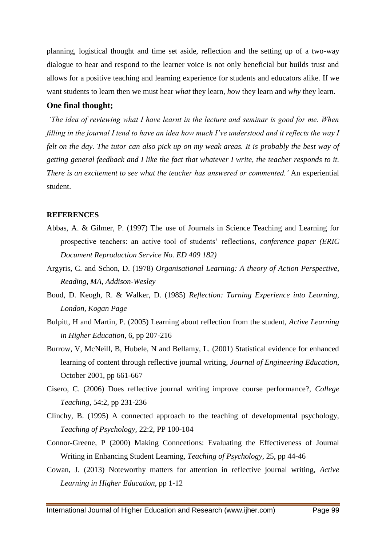planning, logistical thought and time set aside, reflection and the setting up of a two-way dialogue to hear and respond to the learner voice is not only beneficial but builds trust and allows for a positive teaching and learning experience for students and educators alike. If we want students to learn then we must hear *what* they learn, *how* they learn and *why* they learn.

#### **One final thought;**

*'The idea of reviewing what I have learnt in the lecture and seminar is good for me. When filling in the journal I tend to have an idea how much I've understood and it reflects the way I felt on the day. The tutor can also pick up on my weak areas. It is probably the best way of getting general feedback and I like the fact that whatever I write, the teacher responds to it. There is an excitement to see what the teacher has answered or commented.'* An experiential student.

#### **REFERENCES**

- Abbas, A. & Gilmer, P. (1997) The use of Journals in Science Teaching and Learning for prospective teachers: an active tool of students' reflections, *conference paper (ERIC Document Reproduction Service No. ED 409 182)*
- Argyris, C. and Schon, D. (1978) *Organisational Learning: A theory of Action Perspective, Reading, MA, Addison-Wesley*
- Boud, D. Keogh, R. & Walker, D. (1985) *Reflection: Turning Experience into Learning, London, Kogan Page*
- Bulpitt, H and Martin, P. (2005) Learning about reflection from the student, *Active Learning in Higher Education*, 6, pp 207-216
- Burrow, V, McNeill, B, Hubele, N and Bellamy, L. (2001) Statistical evidence for enhanced learning of content through reflective journal writing, *Journal of Engineering Education*, October 2001, pp 661-667
- Cisero, C. (2006) Does reflective journal writing improve course performance?, *College Teaching*, 54:2, pp 231-236
- Clinchy, B. (1995) A connected approach to the teaching of developmental psychology, *Teaching of Psychology,* 22:2, PP 100-104
- Connor-Greene, P (2000) Making Conncetions: Evaluating the Effectiveness of Journal Writing in Enhancing Student Learning, *Teaching of Psychology*, 25, pp 44-46
- Cowan, J. (2013) Noteworthy matters for attention in reflective journal writing, *Active Learning in Higher Education*, pp 1-12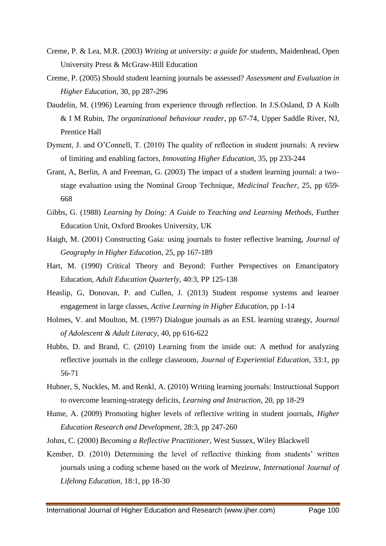- Creme, P. & Lea, M.R. (2003) *Writing at university: a guide for students,* Maidenhead, Open University Press & McGraw-Hill Education
- Creme, P. (2005) Should student learning journals be assessed? *Assessment and Evaluation in Higher Education*, 30, pp 287-296
- Daudelin, M. (1996) Learning from experience through reflection. In J.S.Osland, D A Kolb & I M Rubin, *The organizational behaviour reader*, pp 67-74, Upper Saddle River, NJ, Prentice Hall
- Dyment, J. and O"Connell, T. (2010) The quality of reflection in student journals: A review of limiting and enabling factors, *Innovating Higher Education*, 35, pp 233-244
- Grant, A, Berlin, A and Freeman, G. (2003) The impact of a student learning journal: a twostage evaluation using the Nominal Group Technique, *Medicinal Teacher*, 25, pp 659- 668
- Gibbs, G. (1988) *Learning by Doing: A Guide to Teaching and Learning Methods*, Further Education Unit, Oxford Brookes University, UK
- Haigh, M. (2001) Constructing Gaia: using journals to foster reflective learning, *Journal of Geography in Higher Education*, 25, pp 167-189
- Hart, M. (1990) Critical Theory and Beyond: Further Perspectives on Emancipatory Education, *Adult Education Quarterly,* 40:3, PP 125-138
- Heaslip, G, Donovan, P. and Cullen, J. (2013) Student response systems and learner engagement in large classes, *Active Learning in Higher Education*, pp 1-14
- Holmes, V. and Moulton, M. (1997) Dialogue journals as an ESL learning strategy, *Journal of Adolescent & Adult Literacy*, 40, pp 616-622
- Hubbs, D. and Brand, C. (2010) Learning from the inside out: A method for analyzing reflective journals in the college classroom, *Journal of Experiential Education*, 33:1, pp 56-71
- Hubner, S, Nuckles, M. and Renkl, A. (2010) Writing learning journals: Instructional Support to overcome learning-strategy deficits, *Learning and Instruction*, 20, pp 18-29
- Hume, A. (2009) Promoting higher levels of reflective writing in student journals, *Higher Education Research and Development*, 28:3, pp 247-260
- Johns, C. (2000) *Becoming a Reflective Practitioner,* West Sussex, Wiley Blackwell
- Kember, D. (2010) Determining the level of reflective thinking from students' written journals using a coding scheme based on the work of Mezirow, *International Journal of Lifelong Education*, 18:1, pp 18-30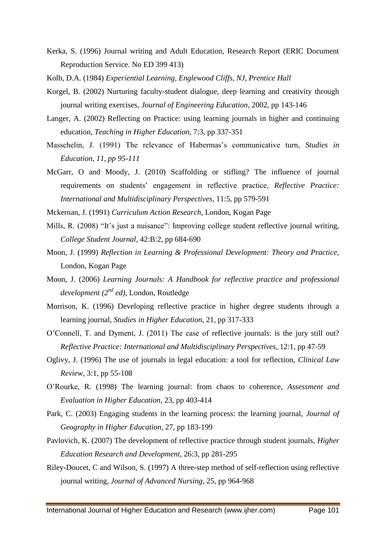- Kerka, S. (1996) Journal writing and Adult Education, Research Report (ERIC Document Reproduction Service. No ED 399 413)
- Kolb, D.A. (1984) *Experiential Learning, Englewood Cliffs, NJ, Prentice Hall*
- Korgel, B. (2002) Nurturing faculty-student dialogue, deep learning and creativity through journal writing exercises, *Journal of Engineering Education*, 2002, pp 143-146
- Langer, A. (2002) Reflecting on Practice: using learning journals in higher and continuing education, *Teaching in Higher Education*, 7:3, pp 337-351
- Masschelin, J. (1991) The relevance of Habermas's communicative turn, *Studies in Education, 11, pp 95-111*
- McGarr, O and Moody, J. (2010) Scaffolding or stifling? The influence of journal requirements on students" engagement in reflective practice, *Reflective Practice: International and Multidisciplinary Perspectives*, 11:5, pp 579-591
- Mckernan, J. (1991) *Curriculum Action Research*, London, Kogan Page
- Mills, R. (2008) "It's just a nuisance": Improving college student reflective journal writing, *College Student Journal*, 42:B:2, pp 684-690
- Moon, J. (1999) *Reflection in Learning & Professional Development: Theory and Practice,*  London, Kogan Page
- Moon, J. (2006) *Learning Journals: A Handbook for reflective practice and professional development (2nd ed),* London, Routledge
- Morrison, K. (1996) Developing reflective practice in higher degree students through a learning journal, *Studies in Higher Education*, 21, pp 317-333
- O"Connell, T. and Dyment, J. (2011) The case of reflective journals: is the jury still out? *Reflective Practice: International and Multidisciplinary Perspectives*, 12:1, pp 47-59
- Oglivy, J. (1996) The use of journals in legal education: a tool for reflection, *Clinical Law Review,* 3:1, pp 55-108
- O"Rourke, R. (1998) The learning journal: from chaos to coherence, *Assessment and Evaluation in Higher Education,* 23, pp 403-414
- Park, C. (2003) Engaging students in the learning process: the learning journal, *Journal of Geography in Higher Education*, 27, pp 183-199
- Pavlovich, K. (2007) The development of reflective practice through student journals, *Higher Education Research and Development*, 26:3, pp 281-295
- Riley-Doucet, C and Wilson, S. (1997) A three-step method of self-reflection using reflective journal writing, *Journal of Advanced Nursing*, 25, pp 964-968